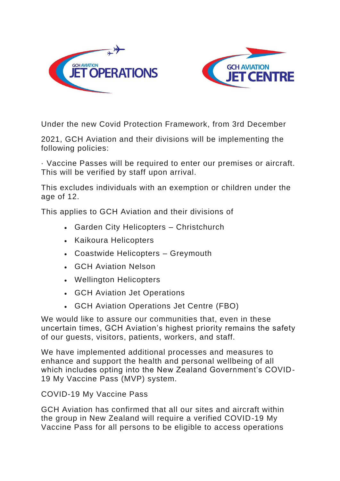



Under the new Covid Protection Framework, from 3rd December

2021, GCH Aviation and their divisions will be implementing the following policies:

· Vaccine Passes will be required to enter our premises or aircraft. This will be verified by staff upon arrival.

This excludes individuals with an exemption or children under the age of 12.

This applies to GCH Aviation and their divisions of

- Garden City Helicopters Christchurch
- Kaikoura Helicopters
- Coastwide Helicopters Greymouth
- GCH Aviation Nelson
- Wellington Helicopters
- GCH Aviation Jet Operations
- GCH Aviation Operations Jet Centre (FBO)

We would like to assure our communities that, even in these uncertain times, GCH Aviation's highest priority remains the safety of our guests, visitors, patients, workers, and staff.

We have implemented additional processes and measures to enhance and support the health and personal wellbeing of all which includes opting into the New Zealand Government's COVID-19 My Vaccine Pass (MVP) system.

COVID-19 My Vaccine Pass

GCH Aviation has confirmed that all our sites and aircraft within the group in New Zealand will require a verified COVID-19 My Vaccine Pass for all persons to be eligible to access operations